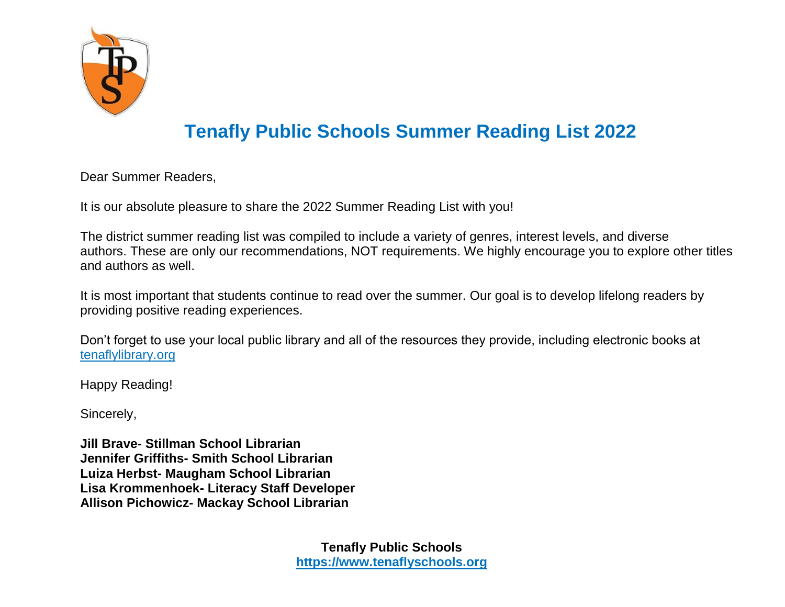

# **Tenafly Public Schools Summer Reading List 2022**

Dear Summer Readers,

It is our absolute pleasure to share the 2022 Summer Reading List with you!

The district summer reading list was compiled to include a variety of genres, interest levels, and diverse authors. These are only our recommendations, NOT requirements. We highly encourage you to explore other titles and authors as well.

It is most important that students continue to read over the summer. Our goal is to develop lifelong readers by providing positive reading experiences.

Don't forget to use your local public library and all of the resources they provide, including electronic books at [tenaflylibrary.org](http://tenaflylibrary.org/)

Happy Reading!

Sincerely,

**Jill Brave- Stillman School Librarian Jennifer Griffiths- Smith School Librarian Luiza Herbst- Maugham School Librarian Lisa Krommenhoek- Literacy Staff Developer Allison Pichowicz- Mackay School Librarian**

> **Tenafly Public Schools [https://www.tenaflyschools.org](https://www.tenaflyschools.org/)**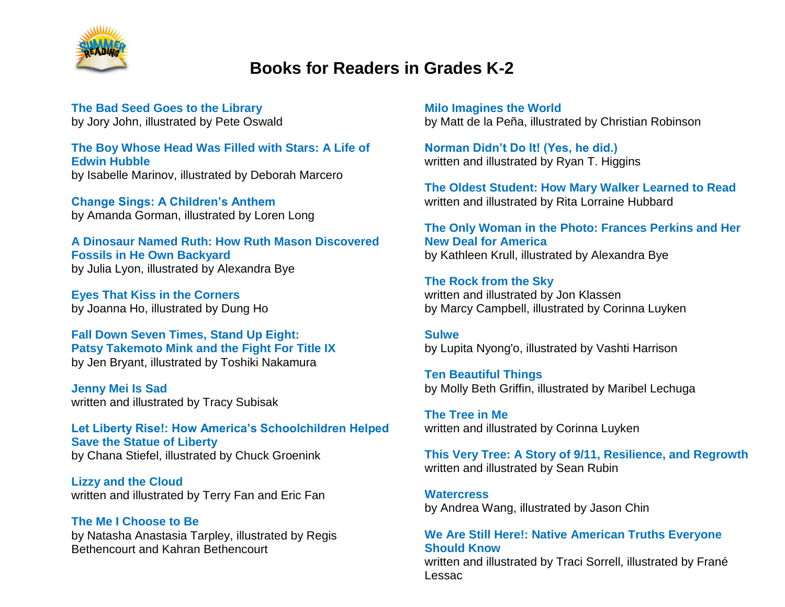

### **Books for Readers in Grades K-2**

**The Bad Seed Goes to the Library** by Jory John, illustrated by Pete Oswald

**The Boy Whose Head Was Filled with Stars: A Life of Edwin Hubble**  by Isabelle Marinov, illustrated by Deborah Marcero

**Change Sings: A Children's Anthem** by Amanda Gorman, illustrated by Loren Long

**A Dinosaur Named Ruth: How Ruth Mason Discovered Fossils in He Own Backyard** by Julia Lyon, illustrated by Alexandra Bye

**Eyes That Kiss in the Corners** by Joanna Ho, illustrated by Dung Ho

**Fall Down Seven Times, Stand Up Eight: Patsy Takemoto Mink and the Fight For Title IX** by Jen Bryant, illustrated by Toshiki Nakamura

**Jenny Mei Is Sad** written and illustrated by Tracy Subisak

**Let Liberty Rise!: How America's Schoolchildren Helped Save the Statue of Liberty** by Chana Stiefel, illustrated by Chuck Groenink

**Lizzy and the Cloud** written and illustrated by Terry Fan and Eric Fan

**The Me I Choose to Be** by Natasha Anastasia Tarpley, illustrated by Regis Bethencourt and Kahran Bethencourt

**Milo Imagines the World** by Matt de la Peña, illustrated by Christian Robinson

**Norman Didn't Do It! (Yes, he did.)** written and illustrated by Ryan T. Higgins

**The Oldest Student: How Mary Walker Learned to Read** written and illustrated by Rita Lorraine Hubbard

**The Only Woman in the Photo: Frances Perkins and Her New Deal for America** by Kathleen Krull, illustrated by Alexandra Bye

**The Rock from the Sky** written and illustrated by Jon Klassen by Marcy Campbell, illustrated by Corinna Luyken

**Sulwe** by Lupita Nyong'o, illustrated by Vashti Harrison

**Ten Beautiful Things** by Molly Beth Griffin, illustrated by Maribel Lechuga

**The Tree in Me** written and illustrated by Corinna Luyken

**This Very Tree: A Story of 9/11, Resilience, and Regrowth** written and illustrated by Sean Rubin

**Watercress** by Andrea Wang, illustrated by Jason Chin

#### **We Are Still Here!: Native American Truths Everyone Should Know**

written and illustrated by Traci Sorrell, illustrated by Frané Lessac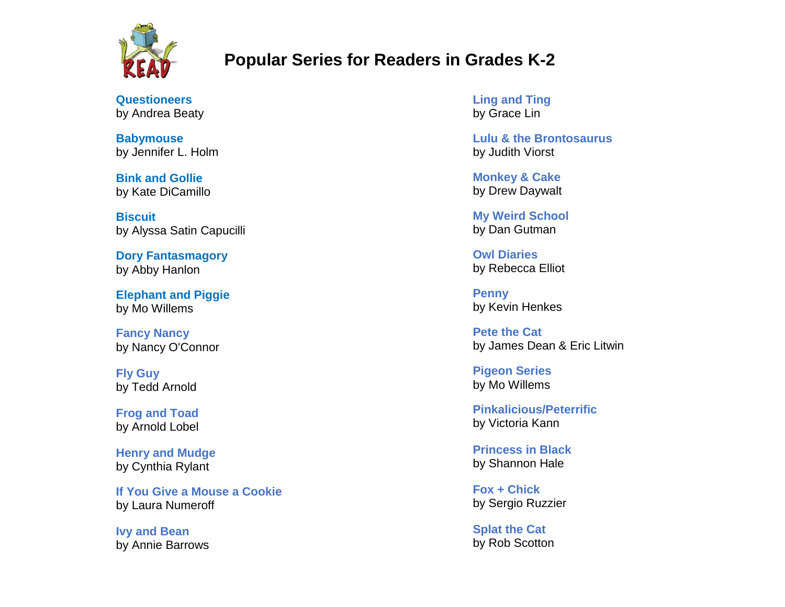

## **Popular Series for Readers in Grades K-2**

**Questioneers** by Andrea Beaty

**Babymouse** by Jennifer L. Holm

**Bink and Gollie** by Kate DiCamillo

**Biscuit** by Alyssa Satin Capucilli

**Dory Fantasmagory** by Abby Hanlon

**Elephant and Piggie** by Mo Willems

**Fancy Nancy** by Nancy O'Connor

**Fly Guy** by Tedd Arnold

**Frog and Toad** by Arnold Lobel

**Henry and Mudge** by Cynthia Rylant

**If You Give a Mouse a Cookie** by Laura Numeroff

**Ivy and Bean** by Annie Barrows **Ling and Ting** by Grace Lin

**Lulu & the Brontosaurus**  by Judith Viorst

**Monkey & Cake** by Drew Daywalt

**My Weird School**  by Dan Gutman

**Owl Diaries** by Rebecca Elliot

**Penny** by Kevin Henkes

**Pete the Cat** by James Dean & Eric Litwin

**Pigeon Series** by Mo Willems

**Pinkalicious/Peterrific** by Victoria Kann

**Princess in Black** by Shannon Hale

**Fox + Chick** by Sergio Ruzzier

**Splat the Cat** by Rob Scotton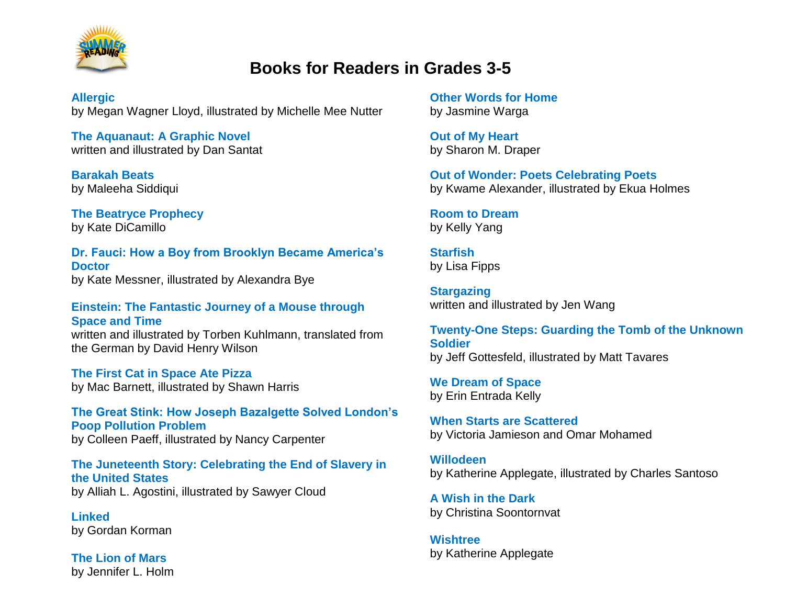

### **Books for Readers in Grades 3-5**

**Allergic** by Megan Wagner Lloyd, illustrated by Michelle Mee Nutter

**The Aquanaut: A Graphic Novel** written and illustrated by Dan Santat

**Barakah Beats** by Maleeha Siddiqui

**The Beatryce Prophecy** by Kate DiCamillo

**Dr. Fauci: How a Boy from Brooklyn Became America's Doctor** by Kate Messner, illustrated by Alexandra Bye

**Einstein: The Fantastic Journey of a Mouse through Space and Time**  written and illustrated by Torben Kuhlmann, translated from the German by David Henry Wilson

**The First Cat in Space Ate Pizza** by Mac Barnett, illustrated by Shawn Harris

**The Great Stink: How Joseph Bazalgette Solved London's Poop Pollution Problem** by Colleen Paeff, illustrated by Nancy Carpenter

**The Juneteenth Story: Celebrating the End of Slavery in the United States** by Alliah L. Agostini, illustrated by Sawyer Cloud

**Linked** by Gordan Korman

**The Lion of Mars** by Jennifer L. Holm

**Other Words for Home** by Jasmine Warga

**Out of My Heart** by Sharon M. Draper

**Out of Wonder: Poets Celebrating Poets** by Kwame Alexander, illustrated by Ekua Holmes

**Room to Dream** by Kelly Yang

**Starfish** by Lisa Fipps

**Stargazing** written and illustrated by Jen Wang

**Twenty-One Steps: Guarding the Tomb of the Unknown Soldier** by Jeff Gottesfeld, illustrated by Matt Tavares

**We Dream of Space** by Erin Entrada Kelly

**When Starts are Scattered** by Victoria Jamieson and Omar Mohamed

**Willodeen** by Katherine Applegate, illustrated by Charles Santoso

**A Wish in the Dark** by Christina Soontornvat

**Wishtree** by Katherine Applegate